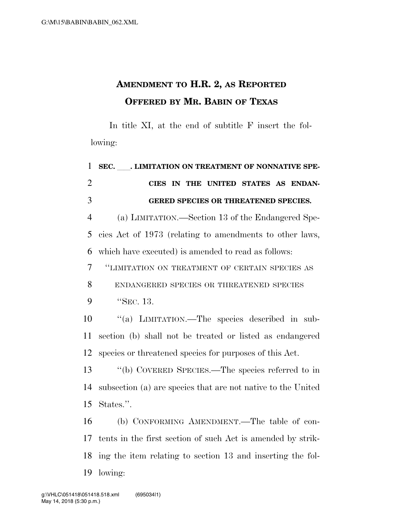## **AMENDMENT TO H.R. 2, AS REPORTED OFFERED BY MR. BABIN OF TEXAS**

In title XI, at the end of subtitle F insert the following:

| $\mathbf{1}$   | SEC. ____. LIMITATION ON TREATMENT OF NONNATIVE SPE-         |
|----------------|--------------------------------------------------------------|
| $\overline{2}$ | CIES IN THE UNITED STATES AS ENDAN-                          |
| 3              | GERED SPECIES OR THREATENED SPECIES.                         |
| $\overline{4}$ | (a) LIMITATION.—Section 13 of the Endangered Spe-            |
| 5              | cies Act of 1973 (relating to amendments to other laws,      |
| 6              | which have executed) is amended to read as follows:          |
| 7              | "LIMITATION ON TREATMENT OF CERTAIN SPECIES AS               |
| 8              | ENDANGERED SPECIES OR THREATENED SPECIES                     |
| 9              | "SEC. 13.                                                    |
| 10             | "(a) LIMITATION.—The species described in sub-               |
| 11             | section (b) shall not be treated or listed as endangered     |
| 12             | species or threatened species for purposes of this Act.      |
| 13             | "(b) COVERED SPECIES.—The species referred to in             |
| 14             | subsection (a) are species that are not native to the United |
| 15             | States.".                                                    |
| 16             | (b) CONFORMING AMENDMENT.—The table of con-                  |
| 17             | tents in the first section of such Act is amended by strik-  |
| 18             | ing the item relating to section 13 and inserting the fol-   |
| 19             | lowing:                                                      |